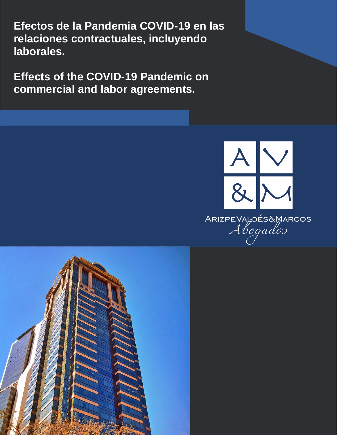**Efectos de la Pandemia COVID-19 en las relaciones contractuales, incluyendo laborales.**

**Effects of the COVID-19 Pandemic on commercial and labor agreements.**



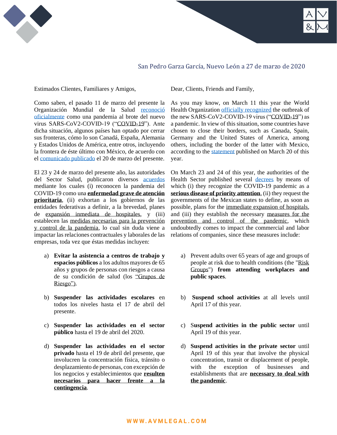

# San Pedro Garza García, Nuevo León a 27 de marzo de 2020

Estimados Clientes, Familiares y Amigos, Dear, Clients, Friends and Family,

Como saben, el pasado 11 de marzo del presente la Organización Mundial de la Salud [reconoció](https://www.who.int/es/dg/speeches/detail/who-director-general-s-opening-remarks-at-the-media-briefing-on-covid-19---11-march-2020)  [oficialmente](https://www.who.int/es/dg/speeches/detail/who-director-general-s-opening-remarks-at-the-media-briefing-on-covid-19---11-march-2020) como una pandemia al brote del nuevo virus SARS-CoV2-COVID-19 ("COVID-19"). Ante dicha situación, algunos países han optado por cerrar sus fronteras, cómo lo son Canadá, España, Alemania y Estados Unidos de América, entre otros, incluyendo la frontera de éste último con México, de acuerdo con el [comunicado publicado](https://www.gob.mx/sre/prensa/mexico-y-ee-uu-logran-convenio-para-combatir-el-covid-19) el 20 de marzo del presente.

El 23 y 24 de marzo del presente año, las autoridades del Sector Salud, publicaron diversos [acuerdos](https://www.dof.gob.mx/nota_detalle.php?codigo=5590339&fecha=24/03/2020) mediante los cuales (i) reconocen la pandemia del COVID-19 como una **enfermedad grave de atención prioritaria**, (ii) exhortan a los gobiernos de las entidades federativas a definir, a la brevedad, planes de expansión inmediata de hospitales, y (iii) establecen las medidas necesarias para la prevención y control de la pandemia, lo cual sin duda viene a impactar las relaciones contractuales y laborales de las empresas, toda vez que éstas medidas incluyen:

- a) **Evitar la asistencia a centros de trabajo y espacios públicos** a los adultos mayores de 65 años y grupos de personas con riesgos a causa de su condición de salud (los "Grupos de Riesgo").
- b) **Suspender las actividades escolares** en todos los niveles hasta el 17 de abril del presente.
- c) **Suspender las actividades en el sector público** hasta el 19 de abril del 2020.
- d) **Suspender las actividades en el sector privado** hasta el 19 de abril del presente, que involucren la concentración física, tránsito o desplazamiento de personas, con excepción de los negocios y establecimientos que **resulten necesarios para hacer frente a la contingencia**.

As you may know, on March 11 this year the World Health Organization [officially recognized](https://www.who.int/dg/speeches/detail/who-director-general-s-opening-remarks-at-the-media-briefing-on-covid-19---11-march-2020) the outbreak of the new SARS-CoV2-COVID-19 virus ("COVID-19") as a pandemic. In view of this situation, some countries have chosen to close their borders, such as Canada, Spain, Germany and the United States of America, among others, including the border of the latter with Mexico, according to the [statement](https://www.gob.mx/sre/prensa/mexico-y-ee-uu-logran-convenio-para-combatir-el-covid-19) published on March 20 of this year.

On March 23 and 24 of this year, the authorities of the Health Sector published several [decrees](https://www.dof.gob.mx/nota_detalle.php?codigo=5590339&fecha=24/03/2020) by means of which (i) they recognize the COVID-19 pandemic as a **serious disease of priority attention**, (ii) they request the governments of the Mexican states to define, as soon as possible, plans for the immediate expansion of hospitals, and (iii) they establish the necessary measures for the prevention and control of the pandemic, which undoubtedly comes to impact the commercial and labor relations of companies, since these measures include:

- a) Prevent adults over 65 years of age and groups of people at risk due to health conditions (the "Risk Groups") **from attending workplaces and public spaces**.
- b) **Suspend school activities** at all levels until April 17 of this year.
- c) S**uspend activities in the public sector** until April 19 of this year.
- d) **Suspend activities in the private sector** until April 19 of this year that involve the physical concentration, transit or displacement of people, with the exception of businesses and establishments that are **necessary to deal with the pandemic**.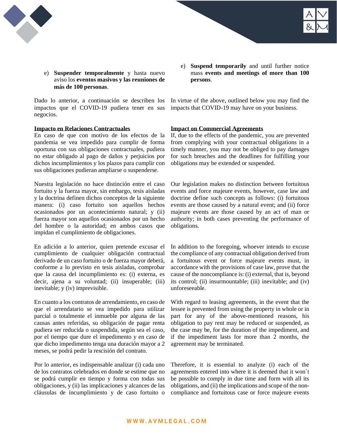



e) **Suspender temporalmente** y hasta nuevo aviso los **eventos masivos y las reuniones de más de 100 personas**.

Dado lo anterior, a continuación se describen los impactos que el COVID-19 pudiera tener en sus negocios.

## **Impacto en Relaciones Contractuales**

En caso de que con motivo de los efectos de la pandemia se vea impedido para cumplir de forma oportuna con sus obligaciones contractuales, pudiera no estar obligado al pago de daños y perjuicios por dichos incumplimientos y los plazos para cumplir con sus obligaciones pudieran ampliarse o suspenderse.

Nuestra legislación no hace distinción entre el caso fortuito y la fuerza mayor, sin embargo, tesis aisladas y la doctrina definen dichos conceptos de la siguiente manera: (i) caso fortuito son aquellos hechos ocasionados por un acontecimiento natural; y (ii) fuerza mayor son aquellos ocasionados por un hecho del hombre o la autoridad; en ambos casos que impidan el cumplimiento de obligaciones.

En adición a lo anterior, quien pretende excusar el cumplimiento de cualquier obligación contractual derivado de un caso fortuito o de fuerza mayor deberá, conforme a lo previsto en tesis aisladas, comprobar que la causa del incumplimiento es: (i) externa, es decir, ajena a su voluntad; (ii) insuperable; (iii) inevitable; y (iv) imprevisible.

En cuanto a los contratos de arrendamiento, en caso de que el arrendatario se vea impedido para utilizar parcial o totalmente el inmueble por alguna de las causas antes referidas, su obligación de pagar renta pudiera ser reducida o suspendida, según sea el caso, por el tiempo que dure el impedimento y en caso de que dicho impedimento tenga una duración mayor a 2 meses, se podrá pedir la rescisión del contrato.

Por lo anterior, es indispensable analizar (i) cada uno de los contratos celebrados en donde se estime que no se podrá cumplir en tiempo y forma con todas sus obligaciones, y (ii) las implicaciones y alcances de las cláusulas de incumplimiento y de caso fortuito o e) **Suspend temporarily** and until further notice mass **events and meetings of more than 100 persons**.

In virtue of the above, outlined below you may find the impacts that COVID-19 may have on your business.

## **Impact on Commercial Agreements**

If, due to the effects of the pandemic, you are prevented from complying with your contractual obligations in a timely manner, you may not be obliged to pay damages for such breaches and the deadlines for fulfilling your obligations may be extended or suspended.

Our legislation makes no distinction between fortuitous events and force majeure events, however, case law and doctrine define such concepts as follows: (i) fortuitous events are those caused by a natural event; and (ii) force majeure events are those caused by an act of man or authority; in both cases preventing the performance of obligations.

In addition to the foregoing, whoever intends to excuse the compliance of any contractual obligation derived from a fortuitous event or force majeure events must, in accordance with the provisions of case law, prove that the cause of the noncompliance is: (i) external, that is, beyond its control; (ii) insurmountable; (iii) inevitable; and (iv) unforeseeable.

With regard to leasing agreements, in the event that the lessee is prevented from using the property in whole or in part for any of the above-mentioned reasons, his obligation to pay rent may be reduced or suspended, as the case may be, for the duration of the impediment, and if the impediment lasts for more than 2 months, the agreement may be terminated.

Therefore, it is essential to analyze (i) each of the agreements entered into where it is deemed that it won´t be possible to comply in due time and form with all its obligations, and (ii) the implications and scope of the noncompliance and fortuitous case or force majeure events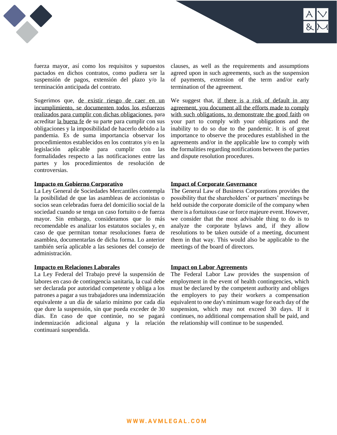

fuerza mayor, así como los requisitos y supuestos pactados en dichos contratos, como pudiera ser la suspensión de pagos, extensión del plazo y/o la terminación anticipada del contrato.

Sugerimos que, de existir riesgo de caer en un incumplimiento, se documenten todos los esfuerzos realizados para cumplir con dichas obligaciones, para acreditar la buena fe de su parte para cumplir con sus obligaciones y la imposibilidad de hacerlo debido a la pandemia. Es de suma importancia observar los procedimientos establecidos en los contratos y/o en la legislación aplicable para cumplir con las formalidades respecto a las notificaciones entre las partes y los procedimientos de resolución de controversias.

#### **Impacto en Gobierno Corporativo**

La Ley General de Sociedades Mercantiles contempla la posibilidad de que las asambleas de accionistas o socios sean celebradas fuera del domicilio social de la sociedad cuando se tenga un caso fortuito o de fuerza mayor. Sin embargo, consideramos que lo más recomendable es analizar los estatutos sociales y, en caso de que permitan tomar resoluciones fuera de asamblea, documentarlas de dicha forma. Lo anterior también sería aplicable a las sesiones del consejo de administración.

## **Impacto en Relaciones Laborales**

La Ley Federal del Trabajo prevé la suspensión de labores en caso de contingencia sanitaria, la cual debe ser declarada por autoridad competente y obliga a los patrones a pagar a sus trabajadores una indemnización equivalente a un día de salario mínimo por cada día que dure la suspensión, sin que pueda exceder de 30 días. En caso de que continúe, no se pagará indemnización adicional alguna y la relación continuará suspendida.

clauses, as well as the requirements and assumptions agreed upon in such agreements, such as the suspension of payments, extension of the term and/or early termination of the agreement.

We suggest that, if there is a risk of default in any agreement, you document all the efforts made to comply with such obligations, to demonstrate the good faith on your part to comply with your obligations and the inability to do so due to the pandemic. It is of great importance to observe the procedures established in the agreements and/or in the applicable law to comply with the formalities regarding notifications between the parties and dispute resolution procedures.

#### **Impact of Corporate Governance**

The General Law of Business Corporations provides the possibility that the shareholders' or partners' meetings be held outside the corporate domicile of the company when there is a fortuitous case or force majeure event. However, we consider that the most advisable thing to do is to analyze the corporate bylaws and, if they allow resolutions to be taken outside of a meeting, document them in that way. This would also be applicable to the meetings of the board of directors.

## **Impact on Labor Agreements**

The Federal Labor Law provides the suspension of employment in the event of health contingencies, which must be declared by the competent authority and obliges the employers to pay their workers a compensation equivalent to one day's minimum wage for each day of the suspension, which may not exceed 30 days. If it continues, no additional compensation shall be paid, and the relationship will continue to be suspended.